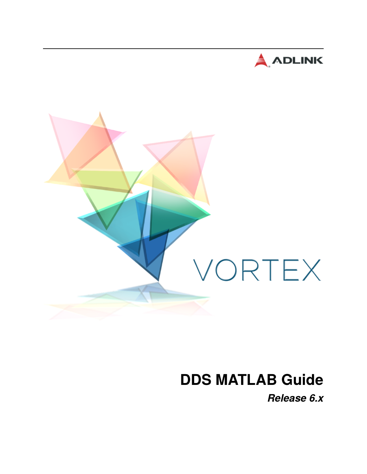



# **DDS MATLAB Guide**

*Release 6.x*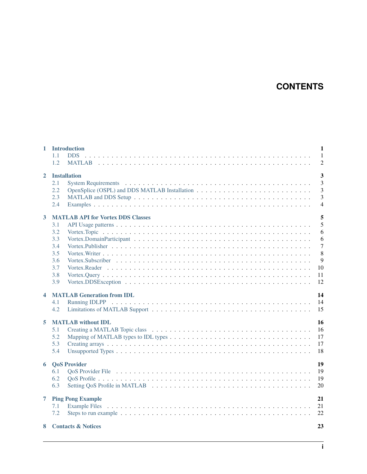# **CONTENTS**

| $\mathbf{1}$     | <b>Introduction</b><br><b>DDS</b><br>1.1<br>1.2                                                         | $\mathbf{1}$<br>$\mathbf{1}$<br>$\overline{2}$                        |  |  |
|------------------|---------------------------------------------------------------------------------------------------------|-----------------------------------------------------------------------|--|--|
| $\mathbf{2}$     | <b>Installation</b><br>2.1<br>2.2<br>2.3<br>2.4                                                         | $\overline{\mathbf{3}}$<br>$\overline{3}$<br>3<br>3<br>$\overline{4}$ |  |  |
| 3                | <b>MATLAB API for Vortex DDS Classes</b><br>3.1<br>3.2<br>3.3<br>3.4<br>3.5<br>3.6<br>3.7<br>3.8<br>3.9 | 5<br>5<br>6<br>6<br>$\overline{7}$<br>8<br>9<br>10<br>11<br>12        |  |  |
| $\blacktriangle$ | <b>MATLAB Generation from IDL</b><br>4.1<br>4.2                                                         | 14<br>14<br>15                                                        |  |  |
| 5                | <b>MATLAB</b> without <b>IDL</b><br>5.1<br>5.2<br>5.3<br>5.4                                            | 16<br>16<br>17<br>17<br>18                                            |  |  |
|                  | <b>6</b> QoS Provider<br>6.1<br>6.2<br>6.3                                                              | 19<br>19<br>19<br>20                                                  |  |  |
| 7                | <b>Ping Pong Example</b><br>7.1<br>7.2                                                                  | 21<br>21<br>22                                                        |  |  |
| 8                | 23<br><b>Contacts &amp; Notices</b>                                                                     |                                                                       |  |  |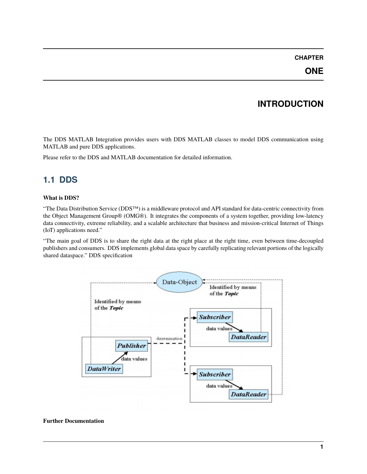# **INTRODUCTION**

<span id="page-3-0"></span>The DDS MATLAB Integration provides users with DDS MATLAB classes to model DDS communication using MATLAB and pure DDS applications.

Please refer to the DDS and MATLAB documentation for detailed information.

# <span id="page-3-1"></span>**1.1 DDS**

#### **What is DDS?**

"The Data Distribution Service (DDS™) is a middleware protocol and API standard for data-centric connectivity from the Object Management Group® (OMG®). It integrates the components of a system together, providing low-latency data connectivity, extreme reliability, and a scalable architecture that business and mission-critical Internet of Things (IoT) applications need."

"The main goal of DDS is to share the right data at the right place at the right time, even between time-decoupled publishers and consumers. DDS implements global data space by carefully replicating relevant portions of the logically shared dataspace." DDS specification



#### **Further Documentation**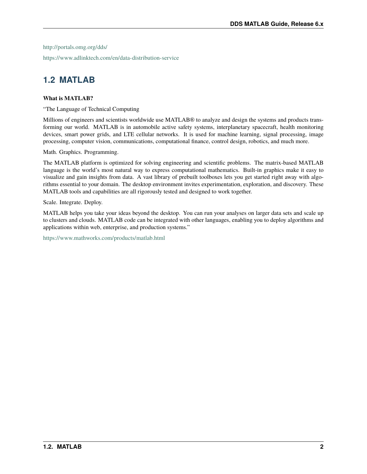<http://portals.omg.org/dds/>

<https://www.adlinktech.com/en/data-distribution-service>

# <span id="page-4-0"></span>**1.2 MATLAB**

#### **What is MATLAB?**

"The Language of Technical Computing

Millions of engineers and scientists worldwide use MATLAB® to analyze and design the systems and products transforming our world. MATLAB is in automobile active safety systems, interplanetary spacecraft, health monitoring devices, smart power grids, and LTE cellular networks. It is used for machine learning, signal processing, image processing, computer vision, communications, computational finance, control design, robotics, and much more.

Math. Graphics. Programming.

The MATLAB platform is optimized for solving engineering and scientific problems. The matrix-based MATLAB language is the world's most natural way to express computational mathematics. Built-in graphics make it easy to visualize and gain insights from data. A vast library of prebuilt toolboxes lets you get started right away with algorithms essential to your domain. The desktop environment invites experimentation, exploration, and discovery. These MATLAB tools and capabilities are all rigorously tested and designed to work together.

Scale. Integrate. Deploy.

MATLAB helps you take your ideas beyond the desktop. You can run your analyses on larger data sets and scale up to clusters and clouds. MATLAB code can be integrated with other languages, enabling you to deploy algorithms and applications within web, enterprise, and production systems."

<https://www.mathworks.com/products/matlab.html>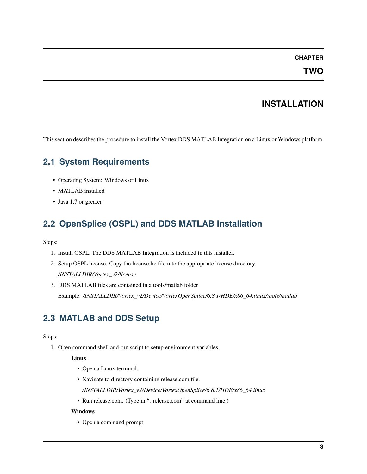**TWO**

### **INSTALLATION**

<span id="page-5-0"></span>This section describes the procedure to install the Vortex DDS MATLAB Integration on a Linux or Windows platform.

# <span id="page-5-1"></span>**2.1 System Requirements**

- Operating System: Windows or Linux
- MATLAB installed
- Java 1.7 or greater

# <span id="page-5-2"></span>**2.2 OpenSplice (OSPL) and DDS MATLAB Installation**

Steps:

- 1. Install OSPL. The DDS MATLAB Integration is included in this installer.
- 2. Setup OSPL license. Copy the license.lic file into the appropriate license directory. */INSTALLDIR/Vortex\_v2/license*
- 3. DDS MATLAB files are contained in a tools/matlab folder Example: */INSTALLDIR/Vortex\_v2/Device/VortexOpenSplice/6.8.1/HDE/x86\_64.linux/tools/matlab*

# <span id="page-5-3"></span>**2.3 MATLAB and DDS Setup**

#### Steps:

1. Open command shell and run script to setup environment variables.

#### **Linux**

- Open a Linux terminal.
- Navigate to directory containing release.com file.

*/INSTALLDIR/Vortex\_v2/Device/VortexOpenSplice/6.8.1/HDE/x86\_64.linux*

• Run release.com. (Type in ". release.com" at command line.)

#### **Windows**

• Open a command prompt.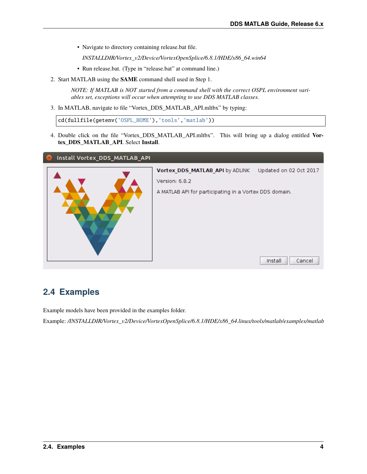• Navigate to directory containing release.bat file.

*INSTALLDIR/Vortex\_v2/Device/VortexOpenSplice/6.8.1/HDE/x86\_64.win64*

- Run release.bat. (Type in "release.bat" at command line.)
- 2. Start MATLAB using the **SAME** command shell used in Step 1.

*NOTE: If MATLAB is NOT started from a command shell with the correct OSPL environment variables set, exceptions will occur when attempting to use DDS MATLAB classes.*

3. In MATLAB, navigate to file "Vortex\_DDS\_MATLAB\_API.mltbx" by typing:

cd(fullfile(getenv('OSPL\_HOME'),'tools','matlab'))

4. Double click on the file "Vortex\_DDS\_MATLAB\_API.mltbx". This will bring up a dialog entitled **Vortex\_DDS\_MATLAB\_API**. Select **Install**.

#### Install Vortex\_DDS\_MATLAB\_API



### <span id="page-6-0"></span>**2.4 Examples**

Example models have been provided in the examples folder.

Example: */INSTALLDIR/Vortex\_v2/Device/VortexOpenSplice/6.8.1/HDE/x86\_64.linux/tools/matlab/examples/matlab*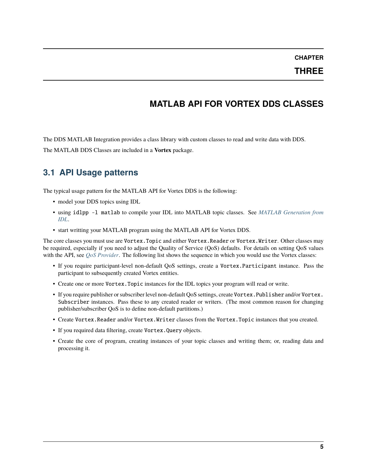**THREE**

# **MATLAB API FOR VORTEX DDS CLASSES**

<span id="page-7-0"></span>The DDS MATLAB Integration provides a class library with custom classes to read and write data with DDS. The MATLAB DDS Classes are included in a **Vortex** package.

<span id="page-7-1"></span>**3.1 API Usage patterns**

The typical usage pattern for the MATLAB API for Vortex DDS is the following:

- model your DDS topics using IDL
- using idlpp -l matlab to compile your IDL into MATLAB topic classes. See *[MATLAB Generation from](#page-16-0) [IDL](#page-16-0)*.
- start writting your MATLAB program using the MATLAB API for Vortex DDS.

The core classes you must use are Vortex. Topic and either Vortex. Reader or Vortex. Writer. Other classes may be required, especially if you need to adjust the Quality of Service (QoS) defaults. For details on setting QoS values with the API, see *[QoS Provider](#page-21-0)*. The following list shows the sequence in which you would use the Vortex classes:

- If you require participant-level non-default QoS settings, create a Vortex.Participant instance. Pass the participant to subsequently created Vortex entities.
- Create one or more Vortex.Topic instances for the IDL topics your program will read or write.
- If you require publisher or subscriber level non-default QoS settings, create Vortex. Publisher and/or Vortex. Subscriber instances. Pass these to any created reader or writers. (The most common reason for changing publisher/subscriber QoS is to define non-default partitions.)
- Create Vortex.Reader and/or Vortex.Writer classes from the Vortex.Topic instances that you created.
- If you required data filtering, create Vortex.Query objects.
- Create the core of program, creating instances of your topic classes and writing them; or, reading data and processing it.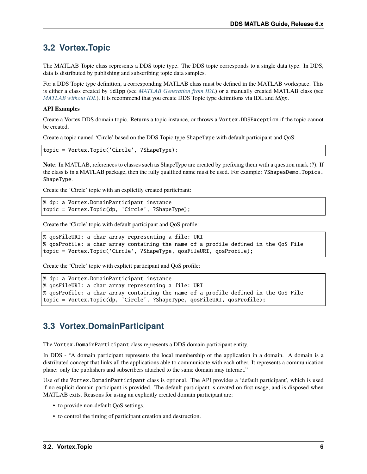### <span id="page-8-0"></span>**3.2 Vortex.Topic**

The MATLAB Topic class represents a DDS topic type. The DDS topic corresponds to a single data type. In DDS, data is distributed by publishing and subscribing topic data samples.

For a DDS Topic type definition, a corresponding MATLAB class must be defined in the MATLAB workspace. This is either a class created by idlpp (see *[MATLAB Generation from IDL](#page-16-0)*) or a manually created MATLAB class (see *[MATLAB without IDL](#page-18-0)*). It is recommend that you create DDS Topic type definitions via IDL and *idlpp*.

#### **API Examples**

Create a Vortex DDS domain topic. Returns a topic instance, or throws a Vortex.DDSException if the topic cannot be created.

Create a topic named 'Circle' based on the DDS Topic type ShapeType with default participant and QoS:

topic = Vortex.Topic('Circle', ?ShapeType);

**Note**: In MATLAB, references to classes such as ShapeType are created by prefixing them with a question mark (?). If the class is in a MATLAB package, then the fully qualified name must be used. For example: ?ShapesDemo.Topics. ShapeType.

Create the 'Circle' topic with an explicitly created participant:

```
% dp: a Vortex.DomainParticipant instance
topic = Vortex.Topic(dp, 'Circle', ?ShapeType);
```
Create the 'Circle' topic with default participant and QoS profile:

```
% qosFileURI: a char array representing a file: URI
% qosProfile: a char array containing the name of a profile defined in the QoS File
topic = Vortex.Topic('Circle', ?ShapeType, qosFileURI, qosProfile);
```
Create the 'Circle' topic with explicit participant and QoS profile:

```
% dp: a Vortex.DomainParticipant instance
% qosFileURI: a char array representing a file: URI
% qosProfile: a char array containing the name of a profile defined in the QoS File
topic = Vortex.Topic(dp, 'Circle', ?ShapeType, qosFileURI, qosProfile);
```
### <span id="page-8-1"></span>**3.3 Vortex.DomainParticipant**

The Vortex.DomainParticipant class represents a DDS domain participant entity.

In DDS - "A domain participant represents the local membership of the application in a domain. A domain is a distributed concept that links all the applications able to communicate with each other. It represents a communication plane: only the publishers and subscribers attached to the same domain may interact."

Use of the Vortex.DomainParticipant class is optional. The API provides a 'default participant', which is used if no explicit domain participant is provided. The default participant is created on first usage, and is disposed when MATLAB exits. Reasons for using an explicitly created domain participant are:

- to provide non-default QoS settings.
- to control the timing of participant creation and destruction.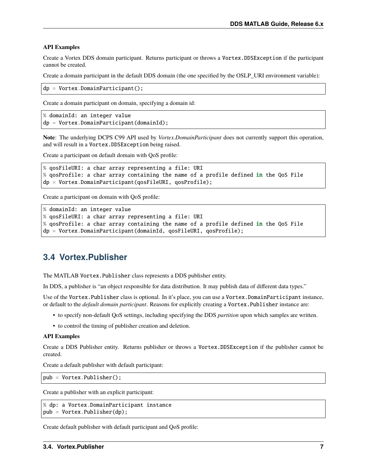#### **API Examples**

Create a Vortex DDS domain participant. Returns participant or throws a Vortex.DDSException if the participant cannot be created.

Create a domain participant in the default DDS domain (the one specified by the OSLP\_URI environment variable):

```
dp = Vortex.DomainParticipant();
```
Create a domain participant on domain, specifying a domain id:

```
% domainId: an integer value
dp = Vortex. DomainParticipant(domainId);
```
**Note**: The underlying DCPS C99 API used by *Vortex.DomainParticipant* does not currently support this operation, and will result in a Vortex.DDSException being raised.

Create a participant on default domain with QoS profile:

```
% qosFileURI: a char array representing a file: URI
% qosProfile: a char array containing the name of a profile defined in the QoS File
dp = Vortex.DomainParticipant(qosFileURI, qosProfile);
```
Create a participant on domain with QoS profile:

```
% domainId: an integer value
% qosFileURI: a char array representing a file: URI
% qosProfile: a char array containing the name of a profile defined in the QoS File
dp = Vortex.DomainParticipant(domainId, qosFileURI, qosProfile);
```
### <span id="page-9-0"></span>**3.4 Vortex.Publisher**

The MATLAB Vortex.Publisher class represents a DDS publisher entity.

In DDS, a publisher is "an object responsible for data distribution. It may publish data of different data types."

Use of the Vortex.Publisher class is optional. In it's place, you can use a Vortex.DomainParticipant instance, or default to the *default domain participant*. Reasons for explicitly creating a Vortex.Publisher instance are:

- to specify non-default QoS settings, including specifying the DDS *partition* upon which samples are written.
- to control the timing of publisher creation and deletion.

#### **API Examples**

Create a DDS Publisher entity. Returns publisher or throws a Vortex.DDSException if the publisher cannot be created.

Create a default publisher with default participant:

pub = Vortex.Publisher();

Create a publisher with an explicit participant:

```
% dp: a Vortex.DomainParticipant instance
pub = Vortex.Publisher(dp);
```
Create default publisher with default participant and QoS profile: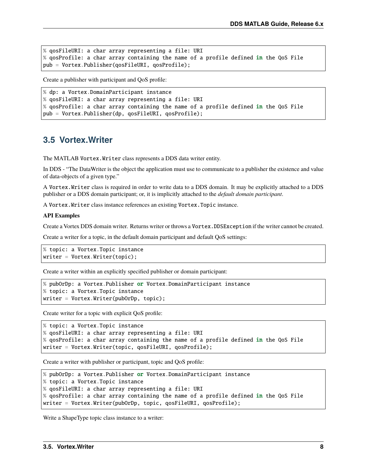```
% qosFileURI: a char array representing a file: URI
% qosProfile: a char array containing the name of a profile defined in the QoS File
pub = Vortex.Publisher(qosFileURI, qosProfile);
```
Create a publisher with participant and QoS profile:

```
% dp: a Vortex.DomainParticipant instance
% qosFileURI: a char array representing a file: URI
% qosProfile: a char array containing the name of a profile defined in the QoS File
pub = Vortex.Publisher(dp, qosFileURI, qosProfile);
```
### <span id="page-10-0"></span>**3.5 Vortex.Writer**

The MATLAB Vortex.Writer class represents a DDS data writer entity.

In DDS - "The DataWriter is the object the application must use to communicate to a publisher the existence and value of data-objects of a given type."

A Vortex.Writer class is required in order to write data to a DDS domain. It may be explicitly attached to a DDS publisher or a DDS domain participant; or, it is implicitly attached to the *default domain participant*.

A Vortex.Writer class instance references an existing Vortex.Topic instance.

#### **API Examples**

Create a Vortex DDS domain writer. Returns writer or throws a Vortex.DDSException if the writer cannot be created.

Create a writer for a topic, in the default domain participant and default QoS settings:

```
% topic: a Vortex.Topic instance
writer = Vortex Writer(topic);
```
Create a writer within an explicitly specified publisher or domain participant:

```
% pubOrDp: a Vortex.Publisher or Vortex.DomainParticipant instance
% topic: a Vortex.Topic instance
writer = Vortex .Writer(pubOrDp, topic);
```
Create writer for a topic with explicit QoS profile:

```
% topic: a Vortex.Topic instance
% qosFileURI: a char array representing a file: URI
% qosProfile: a char array containing the name of a profile defined in the QoS File
writer = Vortex.Writer(topic, qosFileURI, qosProfile);
```
Create a writer with publisher or participant, topic and QoS profile:

```
% pubOrDp: a Vortex.Publisher or Vortex.DomainParticipant instance
% topic: a Vortex.Topic instance
% qosFileURI: a char array representing a file: URI
% qosProfile: a char array containing the name of a profile defined in the QoS File
writer = Vortex.Writer(pubOrDp, topic, qosFileURI, qosProfile);
```
Write a ShapeType topic class instance to a writer: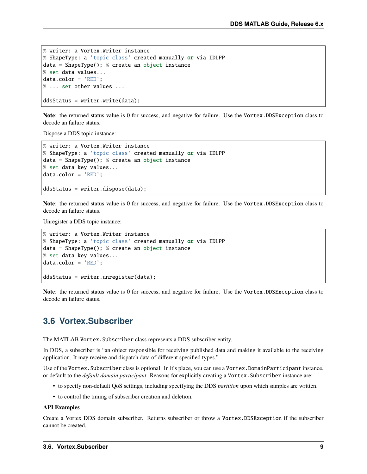```
% writer: a Vortex.Writer instance
% ShapeType: a 'topic class' created manually or via IDLPP
data = ShapeType(); % create an object instance
% set data values...
data.color = 'RED';
% ... set other values ...
```
ddsStatus = writer.write(data);

**Note**: the returned status value is 0 for success, and negative for failure. Use the Vortex.DDSException class to decode an failure status.

Dispose a DDS topic instance:

```
% writer: a Vortex.Writer instance
% ShapeType: a 'topic class' created manually or via IDLPP
data = ShapeType(); % create an object instance
% set data key values...
data.color = 'RED';
ddsStatus = writer.dispose(data);
```
**Note**: the returned status value is 0 for success, and negative for failure. Use the Vortex.DDSException class to decode an failure status.

Unregister a DDS topic instance:

```
% writer: a Vortex.Writer instance
% ShapeType: a 'topic class' created manually or via IDLPP
data = ShapeType(); % create an object instance
% set data key values...
datacolor = 'RED';ddsStatus = writer.unregister(data);
```
**Note**: the returned status value is 0 for success, and negative for failure. Use the Vortex.DDSException class to decode an failure status.

### <span id="page-11-0"></span>**3.6 Vortex.Subscriber**

The MATLAB Vortex.Subscriber class represents a DDS subscriber entity.

In DDS, a subscriber is "an object responsible for receiving published data and making it available to the receiving application. It may receive and dispatch data of different specified types."

Use of the Vortex.Subscriber class is optional. In it's place, you can use a Vortex.DomainParticipant instance, or default to the *default domain participant*. Reasons for explicitly creating a Vortex.Subscriber instance are:

- to specify non-default QoS settings, including specifying the DDS *partition* upon which samples are written.
- to control the timing of subscriber creation and deletion.

#### **API Examples**

Create a Vortex DDS domain subscriber. Returns subscriber or throw a Vortex.DDSException if the subscriber cannot be created.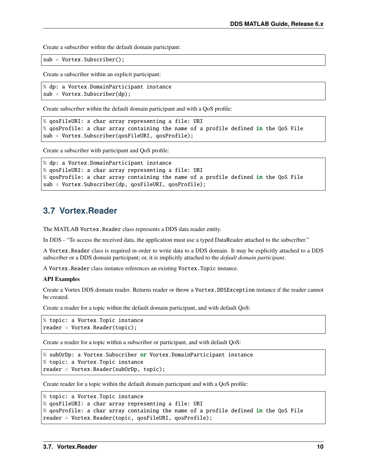Create a subscriber within the default domain participant:

sub = Vortex.Subscriber();

Create a subscriber within an explicit participant:

```
% dp: a Vortex.DomainParticipant instance
sub = Vortex.Subscriber(dp);
```
Create subscriber within the default domain participant and with a QoS profile:

```
% qosFileURI: a char array representing a file: URI
% qosProfile: a char array containing the name of a profile defined in the QoS File
sub = Vortex.Subscriber(qosFileURI, qosProfile);
```
Create a subscriber with participant and QoS profile:

```
% dp: a Vortex.DomainParticipant instance
% qosFileURI: a char array representing a file: URI
% qosProfile: a char array containing the name of a profile defined in the QoS File
sub = Vortex.Subscriber(dp, qosFileURI, qosProfile);
```
### <span id="page-12-0"></span>**3.7 Vortex.Reader**

The MATLAB Vortex. Reader class represents a DDS data reader entity.

In DDS - "To access the received data, the application must use a typed DataReader attached to the subscriber."

A Vortex.Reader class is required in order to write data to a DDS domain. It may be explicitly attached to a DDS subscriber or a DDS domain participant; or, it is implicitly attached to the *default domain participant*.

A Vortex.Reader class instance references an existing Vortex.Topic instance.

#### **API Examples**

Create a Vortex DDS domain reader. Returns reader or throw a Vortex.DDSException instance if the reader cannot be created.

Create a reader for a topic within the default domain participant, and with default QoS:

```
% topic: a Vortex.Topic instance
reader = Vortex.Reader(topic);
```
Create a reader for a topic within a subscriber or participant, and with default QoS:

```
% subOrDp: a Vortex.Subscriber or Vortex.DomainParticipant instance
% topic: a Vortex.Topic instance
reader = Vortex.Reader(subOrDp, topic);
```
Create reader for a topic within the default domain participant and with a QoS profile:

```
% topic: a Vortex.Topic instance
% qosFileURI: a char array representing a file: URI
% qosProfile: a char array containing the name of a profile defined in the QoS File
reader = Vortex.Reader(topic, qosFileURI, qosProfile);
```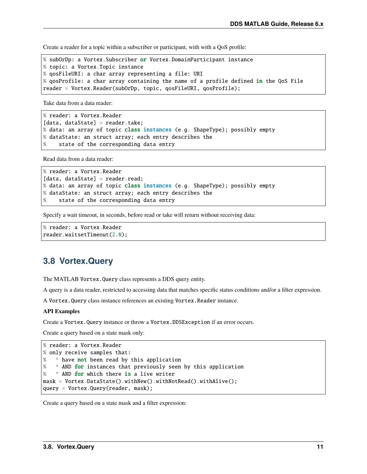Create a reader for a topic within a subscriber or participant, with with a QoS profile:

```
% subOrDp: a Vortex.Subscriber or Vortex.DomainParticipant instance
% topic: a Vortex.Topic instance
% qosFileURI: a char array representing a file: URI
% qosProfile: a char array containing the name of a profile defined in the QoS File
reader = Vortex.Reader(subOrDp, topic, qosFileURI, qosProfile);
```
Take data from a data reader:

```
% reader: a Vortex.Reader
[data, dataState] = reader.take;
% data: an array of topic class instances (e.g. ShapeType); possibly empty
% dataState: an struct array; each entry describes the
% state of the corresponding data entry
```
Read data from a data reader:

```
% reader: a Vortex.Reader
[data, dataState] = reader.read;
% data: an array of topic class instances (e.g. ShapeType); possibly empty
% dataState: an struct array; each entry describes the
% state of the corresponding data entry
```
Specify a wait timeout, in seconds, before read or take will return without receiving data:

```
% reader: a Vortex.Reader
reader.waitsetTimeout(2.0);
```
### <span id="page-13-0"></span>**3.8 Vortex.Query**

The MATLAB Vortex.Query class represents a DDS query entity.

A query is a data reader, restricted to accessing data that matches specific status conditions and/or a filter expression.

A Vortex.Query class instance references an existing Vortex.Reader instance.

#### **API Examples**

Create a Vortex.Query instance or throw a Vortex.DDSException if an error occurs.

Create a query based on a state mask only:

```
% reader: a Vortex.Reader
% only receive samples that:
% * have not been read by this application
% * AND for instances that previously seen by this application
% * AND for which there is a live writer
mask = Vortex.DataState().withNew().withNotRead().withAlive();
query = Vortex.Query(reader, mask);
```
Create a query based on a state mask and a filter expression: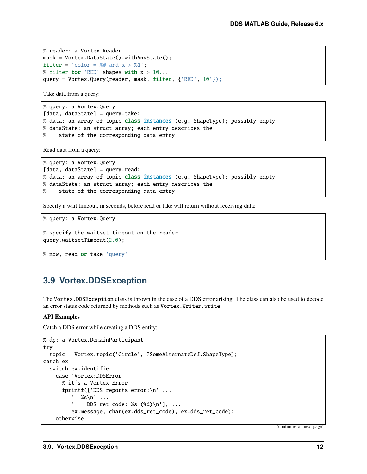```
% reader: a Vortex.Reader
mask = Vortex.DataState().withAnyState();
filter = \text{'color} = %80 = 0.001 \times 10^{-10}% filter for 'RED' shapes with x > 10...query = Vortex.Query(reader, mask, filter, {'RED', 10'});
```
Take data from a query:

% query: a Vortex.Query [data, dataState] = query.take; % data: an array of topic class instances (e.g. ShapeType); possibly empty % dataState: an struct array; each entry describes the % state of the corresponding data entry

Read data from a query:

```
% query: a Vortex.Query
[data, dataState] = query.read;
% data: an array of topic class instances (e.g. ShapeType); possibly empty
% dataState: an struct array; each entry describes the
% state of the corresponding data entry
```
Specify a wait timeout, in seconds, before read or take will return without receiving data:

```
% query: a Vortex.Query
% specify the waitset timeout on the reader
query.waitsetTimeout(2.0);
% now, read or take 'query'
```
### <span id="page-14-0"></span>**3.9 Vortex.DDSException**

The Vortex.DDSException class is thrown in the case of a DDS error arising. The class can also be used to decode an error status code returned by methods such as Vortex.Writer.write.

#### **API Examples**

Catch a DDS error while creating a DDS entity:

```
% dp: a Vortex.DomainParticipant
try
 topic = Vortex.topic('Circle', ?SomeAlternateDef.ShapeType);
catch ex
  switch ex.identifier
    case 'Vortex:DDSError'
      % it's a Vortex Error
      fprintf(['DDS reports error:\n' ...
          ' %s\n' ...
          'DDS ret code: %s (\%d)\n\in'], ...
         ex.message, char(ex.dds_ret_code), ex.dds_ret_code);
    otherwise
```
(continues on next page)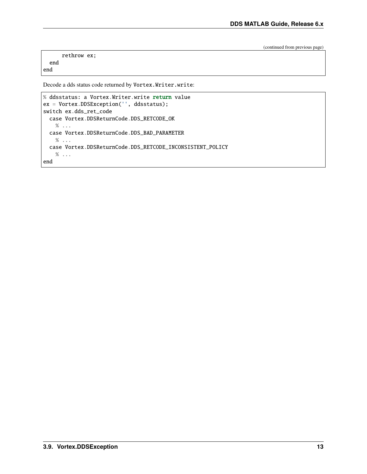(continued from previous page)

```
rethrow ex;
end
```
end

Decode a dds status code returned by Vortex.Writer.write:

```
% ddsstatus: a Vortex.Writer.write return value
ex = Vortex.DDSException('', ddsstatus);
switch ex.dds_ret_code
 case Vortex.DDSReturnCode.DDS_RETCODE_OK
    % ...
 case Vortex.DDSReturnCode.DDS_BAD_PARAMETER
    % ...
 case Vortex.DDSReturnCode.DDS_RETCODE_INCONSISTENT_POLICY
    % ...
end
```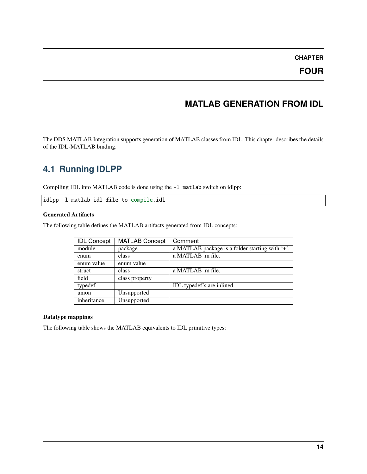### **FOUR**

# **MATLAB GENERATION FROM IDL**

<span id="page-16-0"></span>The DDS MATLAB Integration supports generation of MATLAB classes from IDL. This chapter describes the details of the IDL-MATLAB binding.

# <span id="page-16-1"></span>**4.1 Running IDLPP**

Compiling IDL into MATLAB code is done using the -l matlab switch on idlpp:

idlpp -l matlab idl-file-to-compile.idl

#### **Generated Artifacts**

The following table defines the MATLAB artifacts generated from IDL concepts:

| <b>IDL Concept</b> | <b>MATLAB Concept</b> | Comment                                         |  |  |  |  |  |  |  |  |  |
|--------------------|-----------------------|-------------------------------------------------|--|--|--|--|--|--|--|--|--|
| module             | package               | a MATLAB package is a folder starting with '+'. |  |  |  |  |  |  |  |  |  |
| enum               | class                 | a MATLAB .m file.                               |  |  |  |  |  |  |  |  |  |
| enum value         | enum value            |                                                 |  |  |  |  |  |  |  |  |  |
| struct             | class                 | a MATLAB .m file.                               |  |  |  |  |  |  |  |  |  |
| field              | class property        |                                                 |  |  |  |  |  |  |  |  |  |
| typedef            |                       | IDL typedef's are inlined.                      |  |  |  |  |  |  |  |  |  |
| union              | Unsupported           |                                                 |  |  |  |  |  |  |  |  |  |
| inheritance        | Unsupported           |                                                 |  |  |  |  |  |  |  |  |  |

#### **Datatype mappings**

The following table shows the MATLAB equivalents to IDL primitive types: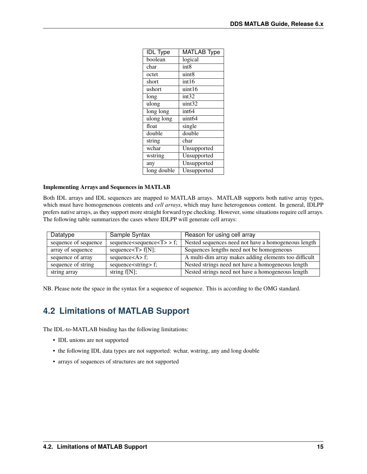| <b>IDL</b> Type | <b>MATLAB Type</b> |
|-----------------|--------------------|
| boolean         | logical            |
| char            | int <sub>8</sub>   |
| octet           | uint8              |
| short           | int16              |
| ushort          | uint16             |
| long            | int32              |
| ulong           | uint32             |
| long long       | int <sub>64</sub>  |
| ulong long      | uint64             |
| float           | single             |
| double          | double             |
| string          | char               |
| wchar           | Unsupported        |
| wstring         | Unsupported        |
| any             | Unsupported        |
| long double     | Unsupported        |

#### **Implementing Arrays and Sequences in MATLAB**

Both IDL arrays and IDL sequences are mapped to MATLAB arrays. MATLAB supports both native array types, which must have homogenenous contents and *cell arrays*, which may have heterogenous content. In general, IDLPP prefers native arrays, as they support more straight forward type checking. However, some situations require cell arrays. The following table summarizes the cases where IDLPP will generate cell arrays:

| Datatype             | Sample Syntax                      | Reason for using cell array                           |
|----------------------|------------------------------------|-------------------------------------------------------|
| sequence of sequence | $sequences \neq 7$ > f;            | Nested sequences need not have a homogeneous length   |
| array of sequence    | sequence $\langle T \rangle$ f[N]; | Sequences lengths need not be homogeneous             |
| sequence of array    | sequence $\langle A \rangle$ f;    | A multi-dim array makes adding elements too difficult |
| sequence of string   | sequence <string> f;</string>      | Nested strings need not have a homogeneous length     |
| string array         | string $f[N]$ ;                    | Nested strings need not have a homogeneous length     |

NB. Please note the space in the syntax for a sequence of sequence. This is according to the OMG standard.

# <span id="page-17-0"></span>**4.2 Limitations of MATLAB Support**

The IDL-to-MATLAB binding has the following limitations:

- IDL unions are not supported
- the following IDL data types are not supported: wchar, wstring, any and long double
- arrays of sequences of structures are not supported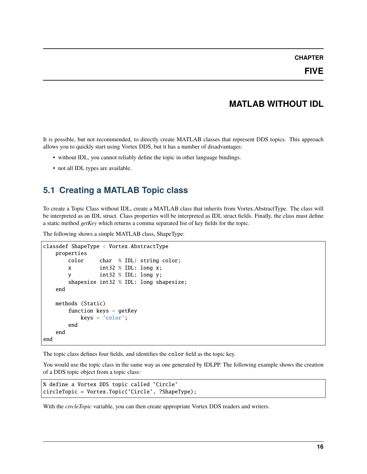# **MATLAB WITHOUT IDL**

<span id="page-18-0"></span>It is possible, but not recommended, to directly create MATLAB classes that represent DDS topics. This approach allows you to quickly start using Vortex DDS, but it has a number of disadvantages:

- without IDL, you cannot reliably define the topic in other language bindings.
- not all IDL types are available.

# <span id="page-18-1"></span>**5.1 Creating a MATLAB Topic class**

To create a Topic Class without IDL, create a MATLAB class that inherits from Vortex.AbstractType. The class will be interpreted as an IDL struct. Class properties will be interpreted as IDL struct fields. Finally, the class must define a static method *getKey* which returns a comma separated list of key fields for the topic.

The following shows a simple MATLAB class, ShapeType:

```
classdef ShapeType < Vortex.AbstractType
   properties
       color char % IDL: string color;
       x int32 % IDL: long x;
       y int32 % IDL: long y;
       shapesize int32 % IDL: long shapesize;
   end
   methods (Static)
       function keys = getKey
           keys = 'color':end
   end
end
```
The topic class defines four fields, and identifies the color field as the topic key.

You would use the topic class in the same way as one generated by IDLPP. The following example shows the creation of a DDS topic object from a topic class:

```
% define a Vortex DDS topic called 'Circle'
circleTopic = Vortex.Topic('Circle', ?ShapeType);
```
With the *circleTopic* variable, you can then create appropriate Vortex DDS readers and writers.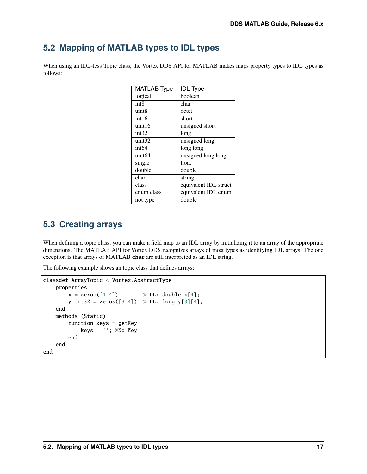### <span id="page-19-0"></span>**5.2 Mapping of MATLAB types to IDL types**

When using an IDL-less Topic class, the Vortex DDS API for MATLAB makes maps property types to IDL types as follows:

| <b>MATLAB Type</b> | <b>IDL</b> Type       |
|--------------------|-----------------------|
| logical            | boolean               |
| int <sub>8</sub>   | char                  |
| uint8              | octet                 |
| int16              | short                 |
| uint16             | unsigned short        |
| int32              | long                  |
| uint32             | unsigned long         |
| int <sub>64</sub>  | long long             |
| uint <sub>64</sub> | unsigned long long    |
| single             | float                 |
| double             | double                |
| char               | string                |
| class              | equivalent IDL struct |
| enum class         | equivalent IDL enum   |
| not type           | double                |

# <span id="page-19-1"></span>**5.3 Creating arrays**

When defining a topic class, you can make a field map to an IDL array by initializing it to an array of the appropriate dimensions. The MATLAB API for Vortex DDS recognizes arrays of most types as identifying IDL arrays. The one exception is that arrays of MATLAB char are still interpreted as an IDL string.

The following example shows an topic class that defines arrays:

```
classdef ArrayTopic < Vortex.AbstractType
    properties
        x = zeros([1 4]) %IDL: double x[4];
        y \text{ int32 } = \text{zeros}([3 4]) %IDL: \text{long } y[3][4];end
    methods (Static)
        function keys = getKeykeys = '''; % No Keyend
    end
end
```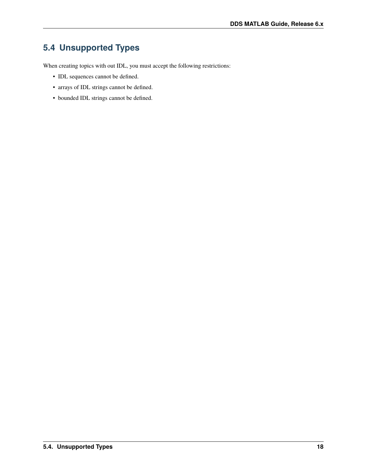# <span id="page-20-0"></span>**5.4 Unsupported Types**

When creating topics with out IDL, you must accept the following restrictions:

- IDL sequences cannot be defined.
- arrays of IDL strings cannot be defined.
- bounded IDL strings cannot be defined.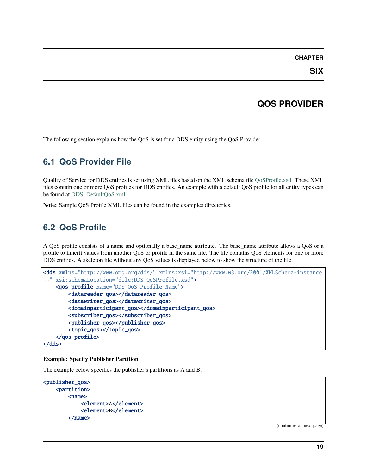**SIX**

### **QOS PROVIDER**

<span id="page-21-0"></span>The following section explains how the QoS is set for a DDS entity using the QoS Provider.

# <span id="page-21-1"></span>**6.1 QoS Provider File**

Quality of Service for DDS entities is set using XML files based on the XML schema file [QoSProfile.xsd.](http://www.omg.org/spec/dds4ccm/20110201/DDS_QoSProfile.xsd) These XML files contain one or more QoS profiles for DDS entities. An example with a default QoS profile for all entity types can be found at [DDS\\_DefaultQoS.xml.](http://www.omg.org/spec/dds4ccm/20110201/DDS_DefaultQoS.xml)

**Note:** Sample QoS Profile XML files can be found in the examples directories.

# <span id="page-21-2"></span>**6.2 QoS Profile**

A QoS profile consists of a name and optionally a base\_name attribute. The base\_name attribute allows a QoS or a profile to inherit values from another QoS or profile in the same file. The file contains QoS elements for one or more DDS entities. A skeleton file without any QoS values is displayed below to show the structure of the file.

```
<dds xmlns="http://www.omg.org/dds/" xmlns:xsi="http://www.w3.org/2001/XMLSchema-instance
˓→" xsi:schemaLocation="file:DDS_QoSProfile.xsd">
   <qos_profile name="DDS QoS Profile Name">
        <datareader_qos></datareader_qos>
        <datawriter_qos></datawriter_qos>
        <domainparticipant_qos></domainparticipant_qos>
        <subscriber_qos></subscriber_qos>
        <publisher_qos></publisher_qos>
        <topic_qos></topic_qos>
   </qos_profile>
</dds>
```
#### **Example: Specify Publisher Partition**

The example below specifies the publisher's partitions as A and B.

```
<publisher_qos>
    <partition>
         \langlename\rangle<element>A</element>
              <element>B</element>
         </name>
```
(continues on next page)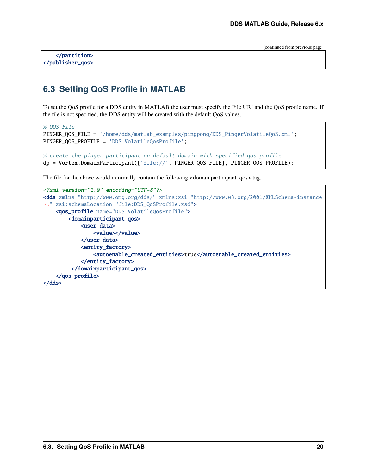(continued from previous page)

</partition> </publisher\_qos>

# <span id="page-22-0"></span>**6.3 Setting QoS Profile in MATLAB**

To set the QoS profile for a DDS entity in MATLAB the user must specify the File URI and the QoS profile name. If the file is not specified, the DDS entity will be created with the default QoS values.

```
% QOS File
PINGER_QOS_FILE = '/home/dds/matlab_examples/pingpong/DDS_PingerVolatileQoS.xml';
PINGER_QOS_PROFILE = 'DDS VolatileQosProfile';
% create the pinger participant on default domain with specified qos profile
dp = Vortex.DomainParticipant(['file://', PINGER_QOS_FILE], PINGER_QOS_PROFILE);
```
The file for the above would minimally contain the following <domainparticipant\_qos> tag.

```
<?xml version="1.0" encoding="UTF-8"?>
<dds xmlns="http://www.omg.org/dds/" xmlns:xsi="http://www.w3.org/2001/XMLSchema-instance
˓→" xsi:schemaLocation="file:DDS_QoSProfile.xsd">
    <qos_profile name="DDS VolatileQosProfile">
        <domainparticipant_qos>
            <user_data>
                <value></value>
            </user_data>
            <entity_factory>
                <autoenable_created_entities>true</autoenable_created_entities>
            </entity_factory>
         </domainparticipant_qos>
    </qos_profile>
</dds>
```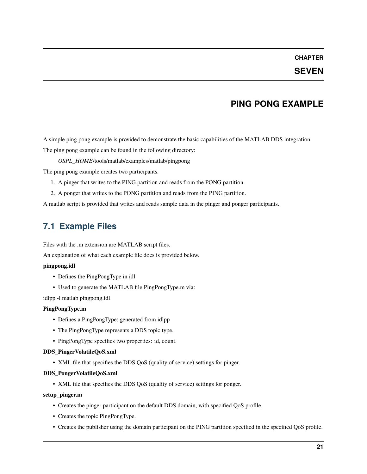### **SEVEN**

### **PING PONG EXAMPLE**

<span id="page-23-0"></span>A simple ping pong example is provided to demonstrate the basic capabilities of the MATLAB DDS integration.

The ping pong example can be found in the following directory:

*OSPL\_HOME*/tools/matlab/examples/matlab/pingpong

The ping pong example creates two participants.

- 1. A pinger that writes to the PING partition and reads from the PONG partition.
- 2. A ponger that writes to the PONG partition and reads from the PING partition.

A matlab script is provided that writes and reads sample data in the pinger and ponger participants.

### <span id="page-23-1"></span>**7.1 Example Files**

Files with the .m extension are MATLAB script files.

An explanation of what each example file does is provided below.

#### **pingpong.idl**

- Defines the PingPongType in idl
- Used to generate the MATLAB file PingPongType.m via:

idlpp -l matlab pingpong.idl

#### **PingPongType.m**

- Defines a PingPongType; generated from idlpp
- The PingPongType represents a DDS topic type.
- PingPongType specifies two properties: id, count.

#### **DDS\_PingerVolatileQoS.xml**

• XML file that specifies the DDS QoS (quality of service) settings for pinger.

#### **DDS\_PongerVolatileQoS.xml**

• XML file that specifies the DDS QoS (quality of service) settings for ponger.

#### **setup\_pinger.m**

- Creates the pinger participant on the default DDS domain, with specified QoS profile.
- Creates the topic PingPongType.
- Creates the publisher using the domain participant on the PING partition specified in the specified QoS profile.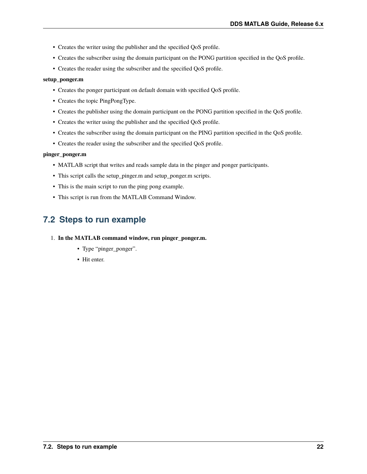- Creates the writer using the publisher and the specified QoS profile.
- Creates the subscriber using the domain participant on the PONG partition specified in the QoS profile.
- Creates the reader using the subscriber and the specified QoS profile.

#### **setup\_ponger.m**

- Creates the ponger participant on default domain with specified QoS profile.
- Creates the topic PingPongType.
- Creates the publisher using the domain participant on the PONG partition specified in the QoS profile.
- Creates the writer using the publisher and the specified QoS profile.
- Creates the subscriber using the domain participant on the PING partition specified in the QoS profile.
- Creates the reader using the subscriber and the specified QoS profile.

#### **pinger\_ponger.m**

- MATLAB script that writes and reads sample data in the pinger and ponger participants.
- This script calls the setup\_pinger.m and setup\_ponger.m scripts.
- This is the main script to run the ping pong example.
- This script is run from the MATLAB Command Window.

# <span id="page-24-0"></span>**7.2 Steps to run example**

- 1. **In the MATLAB command window, run pinger\_ponger.m.**
	- Type "pinger\_ponger".
	- Hit enter.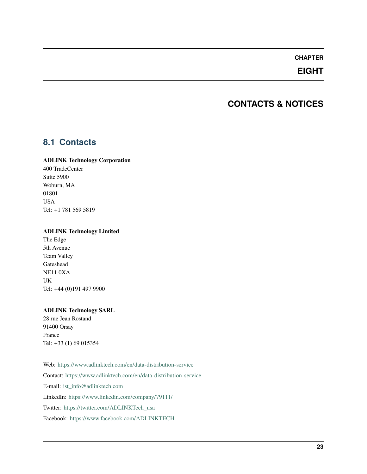### **EIGHT**

### **CONTACTS & NOTICES**

### <span id="page-25-1"></span><span id="page-25-0"></span>**8.1 Contacts**

#### **ADLINK Technology Corporation**

400 TradeCenter Suite 5900 Woburn, MA 01801 USA Tel: +1 781 569 5819

#### **ADLINK Technology Limited**

The Edge 5th Avenue Team Valley Gateshead NE11 0XA UK Tel: +44 (0)191 497 9900

#### **ADLINK Technology SARL**

28 rue Jean Rostand 91400 Orsay France Tel: +33 (1) 69 015354

Web: <https://www.adlinktech.com/en/data-distribution-service> Contact: <https://www.adlinktech.com/en/data-distribution-service> E-mail: [ist\\_info@adlinktech.com](mailto:ist_info@adlinktech.com) LinkedIn: <https://www.linkedin.com/company/79111/> Twitter: [https://twitter.com/ADLINKTech\\_usa](https://twitter.com/ADLINKTech_usa) Facebook: <https://www.facebook.com/ADLINKTECH>